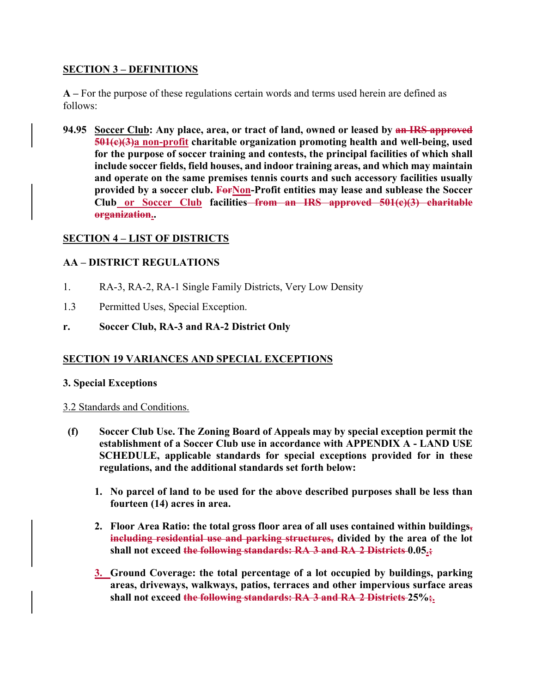## **SECTION 3 – DEFINITIONS**

**A –** For the purpose of these regulations certain words and terms used herein are defined as follows:

**94.95 Soccer Club: Any place, area, or tract of land, owned or leased by an IRS approved 501(c)(3)a non-profit charitable organization promoting health and well-being, used for the purpose of soccer training and contests, the principal facilities of which shall include soccer fields, field houses, and indoor training areas, and which may maintain and operate on the same premises tennis courts and such accessory facilities usually**  provided by a soccer club. **For Non-Profit entities may lease and sublease the Soccer Club or Soccer Club facilities from an IRS approved 501(c)(3) charitable organization..** 

# **SECTION 4 – LIST OF DISTRICTS**

# **AA – DISTRICT REGULATIONS**

- 1. RA-3, RA-2, RA-1 Single Family Districts, Very Low Density
- 1.3 Permitted Uses, Special Exception.

# **r. Soccer Club, RA-3 and RA-2 District Only**

## **SECTION 19 VARIANCES AND SPECIAL EXCEPTIONS**

## **3. Special Exceptions**

## 3.2 Standards and Conditions.

- **(f) Soccer Club Use. The Zoning Board of Appeals may by special exception permit the establishment of a Soccer Club use in accordance with APPENDIX A - LAND USE SCHEDULE, applicable standards for special exceptions provided for in these regulations, and the additional standards set forth below:** 
	- **1. No parcel of land to be used for the above described purposes shall be less than fourteen (14) acres in area.**
	- **2. Floor Area Ratio: the total gross floor area of all uses contained within buildings, including residential use and parking structures, divided by the area of the lot shall not exceed the following standards: RA 3 and RA 2 Districts 0.05.;**
	- **3. Ground Coverage: the total percentage of a lot occupied by buildings, parking areas, driveways, walkways, patios, terraces and other impervious surface areas shall not exceed the following standards: RA 3 and RA 2 Districts 25%;.**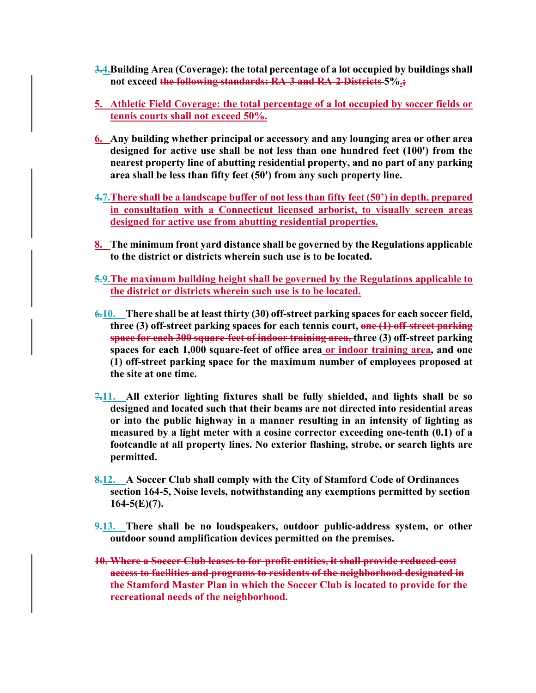- **3.4.Building Area (Coverage): the total percentage of a lot occupied by buildings shall not exceed the following standards: RA 3 and RA 2 Districts 5%.;**
- **5. Athletic Field Coverage: the total percentage of a lot occupied by soccer fields or tennis courts shall not exceed 50%.**
- **6. Any building whether principal or accessory and any lounging area or other area designed for active use shall be not less than one hundred feet (100') from the nearest property line of abutting residential property, and no part of any parking area shall be less than fifty feet (50') from any such property line.**
- **4.7.There shall be a landscape buffer of not less than fifty feet (50') in depth, prepared in consultation with a Connecticut licensed arborist, to visually screen areas designed for active use from abutting residential properties.**
- **8. The minimum front yard distance shall be governed by the Regulations applicable to the district or districts wherein such use is to be located.**
- **5.9.The maximum building height shall be governed by the Regulations applicable to the district or districts wherein such use is to be located.**
- **6.10. There shall be at least thirty (30) off-street parking spaces for each soccer field, three (3) off-street parking spaces for each tennis court, one (1) off street parking space for each 300 square feet of indoor training area, three (3) off-street parking spaces for each 1,000 square-feet of office area or indoor training area, and one (1) off-street parking space for the maximum number of employees proposed at the site at one time.**
- **7.11. All exterior lighting fixtures shall be fully shielded, and lights shall be so designed and located such that their beams are not directed into residential areas or into the public highway in a manner resulting in an intensity of lighting as measured by a light meter with a cosine corrector exceeding one-tenth (0.1) of a footcandle at all property lines. No exterior flashing, strobe, or search lights are permitted.**
- **8.12. A Soccer Club shall comply with the City of Stamford Code of Ordinances section 164-5, Noise levels, notwithstanding any exemptions permitted by section 164-5(E)(7).**
- **9.13. There shall be no loudspeakers, outdoor public-address system, or other outdoor sound amplification devices permitted on the premises.**
- **10. Where a Soccer Club leases to for profit entities, it shall provide reduced cost access to facilities and programs to residents of the neighborhood designated in the Stamford Master Plan in which the Soccer Club is located to provide for the recreational needs of the neighborhood.**